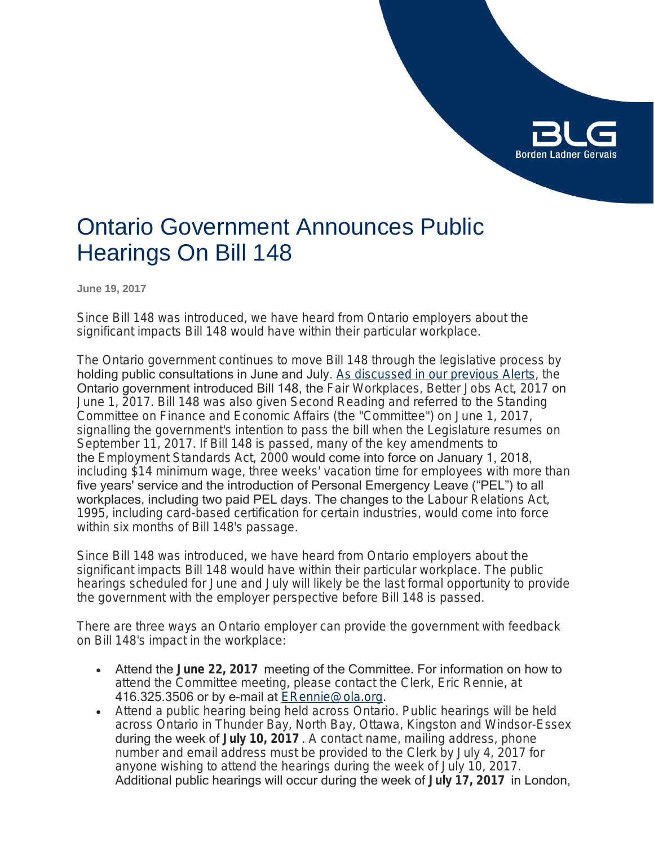# **Borden Ladner Gervais**

# Ontario Government Announces Public Hearings On Bill 148

**June 19, 2017**

Since Bill 148 was introduced, we have heard from Ontario employers about the significant impacts Bill 148 would have within their particular workplace.

The Ontario government continues to move Bill 148 through the legislative process by holding public consultations in June and July. [As discussed in our previous Alerts](https://www.blg.com/en/insights/2017/05/ontario-government-will-proceed-with-major-changes-to-employment-and-labour-laws), the Ontario government introduced Bill 148, the *Fair Workplaces, Better Jobs Act, 2017* on June 1, 2017. Bill 148 was also given Second Reading and referred to the Standing Committee on Finance and Economic Affairs (the "Committee") on June 1, 2017, signalling the government's intention to pass the bill when the Legislature resumes on September 11, 2017. If Bill 148 is passed, many of the key amendments to the *Employment Standards Act, 2000* would come into force on January 1, 2018, including \$14 minimum wage, three weeks' vacation time for employees with more than five years' service and the introduction of Personal Emergency Leave ("PEL") to all workplaces, including two paid PEL days. The changes to the *Labour Relations Act, 1995*, including card-based certification for certain industries, would come into force within six months of Bill 148's passage.

Since Bill 148 was introduced, we have heard from Ontario employers about the significant impacts Bill 148 would have within their particular workplace. The public hearings scheduled for June and July will likely be the last formal opportunity to provide the government with the employer perspective before Bill 148 is passed.

There are three ways an Ontario employer can provide the government with feedback on Bill 148's impact in the workplace:

- Attend the **June 22, 2017** meeting of the Committee. For information on how to attend the Committee meeting, please contact the Clerk, Eric Rennie, at 416.325.3506 or by e-mail at **ERennie@ola.org**.
- Attend a public hearing being held across Ontario. Public hearings will be held across Ontario in Thunder Bay, North Bay, Ottawa, Kingston and Windsor-Essex during the week of **July 10, 2017** . A contact name, mailing address, phone number and email address must be provided to the Clerk by July 4, 2017 for anyone wishing to attend the hearings during the week of July 10, 2017. Additional public hearings will occur during the week of **July 17, 2017** in London,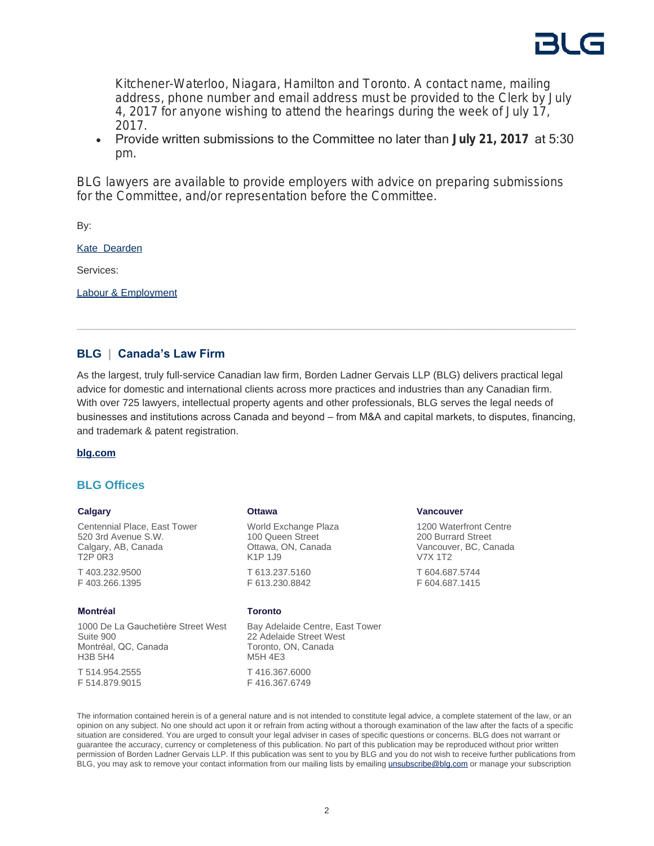

Kitchener-Waterloo, Niagara, Hamilton and Toronto. A contact name, mailing address, phone number and email address must be provided to the Clerk by July 4, 2017 for anyone wishing to attend the hearings during the week of July 17, 2017.

 Provide written submissions to the Committee no later than **July 21, 2017** at 5:30 pm.

BLG lawyers are available to provide employers with advice on preparing submissions for the Committee, and/or representation before the Committee.

By:

[Kate Dearden](https://www.blg.com/en/people/_deactive/d/dearden-kate)

Services:

[Labour & Employment](https://www.blg.com/en/services/practice-areas/labour-,-a-,-employment)

# **BLG | Canada's Law Firm**

As the largest, truly full-service Canadian law firm, Borden Ladner Gervais LLP (BLG) delivers practical legal advice for domestic and international clients across more practices and industries than any Canadian firm. With over 725 lawyers, intellectual property agents and other professionals, BLG serves the legal needs of businesses and institutions across Canada and beyond – from M&A and capital markets, to disputes, financing, and trademark & patent registration.

#### **[blg.com](http://www.blg.com)**

### **BLG Offices**

#### **Calgary**

Centennial Place, East Tower 520 3rd Avenue S.W. Calgary, AB, Canada T2P 0R3 T 403.232.9500 F 403.266.1395

#### **Montréal**

1000 De La Gauchetière Street West Suite 900 Montréal, QC, Canada H3B 5H4 T 514.954.2555 F 514.879.9015

## **Ottawa**

World Exchange Plaza 100 Queen Street Ottawa, ON, Canada K1P 1J9 T 613.237.5160 F 613.230.8842

#### **Toronto**

Bay Adelaide Centre, East Tower 22 Adelaide Street West Toronto, ON, Canada M5H 4E3 T 416.367.6000 F 416.367.6749

#### **Vancouver**

1200 Waterfront Centre 200 Burrard Street Vancouver, BC, Canada V7X 1T2 T 604.687.5744 F 604.687.1415

The information contained herein is of a general nature and is not intended to constitute legal advice, a complete statement of the law, or an opinion on any subject. No one should act upon it or refrain from acting without a thorough examination of the law after the facts of a specific situation are considered. You are urged to consult your legal adviser in cases of specific questions or concerns. BLG does not warrant or guarantee the accuracy, currency or completeness of this publication. No part of this publication may be reproduced without prior written permission of Borden Ladner Gervais LLP. If this publication was sent to you by BLG and you do not wish to receive further publications from BLG, you may ask to remove your contact information from our mailing lists by emailing [unsubscribe@blg.com](mailto:unsubscribe@blg.com) or manage your subscription